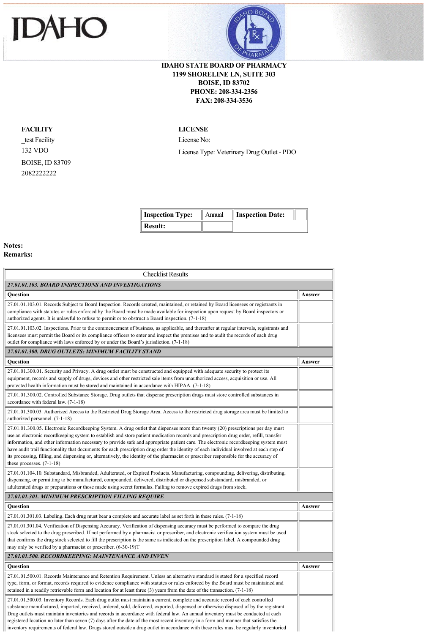



## **IDAHO STATE BOARD OF PHARMACY 1199 SHORELINE LN, SUITE 303 BOISE, ID 83702 PHONE: 208-334-2356 FAX: 208-334-3536**

## **FACILITY**

\_test Facility 132 VDO BOISE, ID 83709 2082222222

## **LICENSE**

License No: License Type: Veterinary Drug Outlet - PDO

| <b>Inspection Type:</b> | Annual | Inspection Date: |  |
|-------------------------|--------|------------------|--|
| Result:                 |        |                  |  |

ä

## **Notes: Remarks:**

| <b>Checklist Results</b>                                                                                                                                                                                                                                                                                                                                                                                                                                                                                                                                                                                                                                                                                                              |        |
|---------------------------------------------------------------------------------------------------------------------------------------------------------------------------------------------------------------------------------------------------------------------------------------------------------------------------------------------------------------------------------------------------------------------------------------------------------------------------------------------------------------------------------------------------------------------------------------------------------------------------------------------------------------------------------------------------------------------------------------|--------|
| 27.01.01.103. BOARD INSPECTIONS AND INVESTIGATIONS                                                                                                                                                                                                                                                                                                                                                                                                                                                                                                                                                                                                                                                                                    |        |
| <b>Ouestion</b>                                                                                                                                                                                                                                                                                                                                                                                                                                                                                                                                                                                                                                                                                                                       | Answer |
| 27.01.01.103.01. Records Subject to Board Inspection. Records created, maintained, or retained by Board licensees or registrants in<br>compliance with statutes or rules enforced by the Board must be made available for inspection upon request by Board inspectors or<br>authorized agents. It is unlawful to refuse to permit or to obstruct a Board inspection. (7-1-18)                                                                                                                                                                                                                                                                                                                                                         |        |
| 27.01.01.103.02. Inspections. Prior to the commencement of business, as applicable, and thereafter at regular intervals, registrants and<br>licensees must permit the Board or its compliance officers to enter and inspect the premises and to audit the records of each drug<br>outlet for compliance with laws enforced by or under the Board's jurisdiction. (7-1-18)                                                                                                                                                                                                                                                                                                                                                             |        |
| 27.01.01.300. DRUG OUTLETS: MINIMUM FACILITY STAND                                                                                                                                                                                                                                                                                                                                                                                                                                                                                                                                                                                                                                                                                    |        |
| <b>Ouestion</b>                                                                                                                                                                                                                                                                                                                                                                                                                                                                                                                                                                                                                                                                                                                       | Answer |
| 27.01.01.300.01. Security and Privacy. A drug outlet must be constructed and equipped with adequate security to protect its<br>equipment, records and supply of drugs, devices and other restricted sale items from unauthorized access, acquisition or use. All<br>protected health information must be stored and maintained in accordance with HIPAA. (7-1-18)                                                                                                                                                                                                                                                                                                                                                                     |        |
| 27.01.01.300.02. Controlled Substance Storage. Drug outlets that dispense prescription drugs must store controlled substances in<br>accordance with federal law. (7-1-18)                                                                                                                                                                                                                                                                                                                                                                                                                                                                                                                                                             |        |
| 27.01.01.300.03. Authorized Access to the Restricted Drug Storage Area. Access to the restricted drug storage area must be limited to<br>authorized personnel. (7-1-18)                                                                                                                                                                                                                                                                                                                                                                                                                                                                                                                                                               |        |
| 27.01.01.300.05. Electronic Recordkeeping System. A drug outlet that dispenses more than twenty (20) prescriptions per day must<br>use an electronic recordkeeping system to establish and store patient medication records and prescription drug order, refill, transfer<br>information, and other information necessary to provide safe and appropriate patient care. The electronic recordkeeping system must<br>have audit trail functionality that documents for each prescription drug order the identity of each individual involved at each step of<br>its processing, filling, and dispensing or, alternatively, the identity of the pharmacist or prescriber responsible for the accuracy of<br>these processes. $(7-1-18)$ |        |
| 27.01.01.104.10. Substandard, Misbranded, Adulterated, or Expired Products. Manufacturing, compounding, delivering, distributing,<br>dispensing, or permitting to be manufactured, compounded, delivered, distributed or dispensed substandard, misbranded, or<br>adulterated drugs or preparations or those made using secret formulas. Failing to remove expired drugs from stock.                                                                                                                                                                                                                                                                                                                                                  |        |
| 27.01.01.301. MINIMUM PRESCRIPTION FILLING REQUIRE                                                                                                                                                                                                                                                                                                                                                                                                                                                                                                                                                                                                                                                                                    |        |
| Question                                                                                                                                                                                                                                                                                                                                                                                                                                                                                                                                                                                                                                                                                                                              | Answer |
| 27.01.01.301.03. Labeling. Each drug must bear a complete and accurate label as set forth in these rules. (7-1-18)                                                                                                                                                                                                                                                                                                                                                                                                                                                                                                                                                                                                                    |        |
| 27.01.01.301.04. Verification of Dispensing Accuracy. Verification of dispensing accuracy must be performed to compare the drug<br>stock selected to the drug prescribed. If not performed by a pharmacist or prescriber, and electronic verification system must be used<br>that confirms the drug stock selected to fill the prescription is the same as indicated on the prescription label. A compounded drug<br>may only be verified by a pharmacist or prescriber. (6-30-19)T                                                                                                                                                                                                                                                   |        |
| 27.01.01.500. RECORDKEEPING: MAINTENANCE AND INVEN                                                                                                                                                                                                                                                                                                                                                                                                                                                                                                                                                                                                                                                                                    |        |
| Question                                                                                                                                                                                                                                                                                                                                                                                                                                                                                                                                                                                                                                                                                                                              | Answer |
| 27.01.01.500.01. Records Maintenance and Retention Requirement. Unless an alternative standard is stated for a specified record<br>type, form, or format, records required to evidence compliance with statutes or rules enforced by the Board must be maintained and<br>retained in a readily retrievable form and location for at least three $(3)$ years from the date of the transaction. $(7-1-18)$                                                                                                                                                                                                                                                                                                                              |        |
| 27.01.01.500.03. Inventory Records. Each drug outlet must maintain a current, complete and accurate record of each controlled<br>substance manufactured, imported, received, ordered, sold, delivered, exported, dispensed or otherwise disposed of by the registrant.<br>Drug outlets must maintain inventories and records in accordance with federal law. An annual inventory must be conducted at each<br>registered location no later than seven (7) days after the date of the most recent inventory in a form and manner that satisfies the<br>inventory requirements of federal law. Drugs stored outside a drug outlet in accordance with these rules must be regularly inventoried                                          |        |